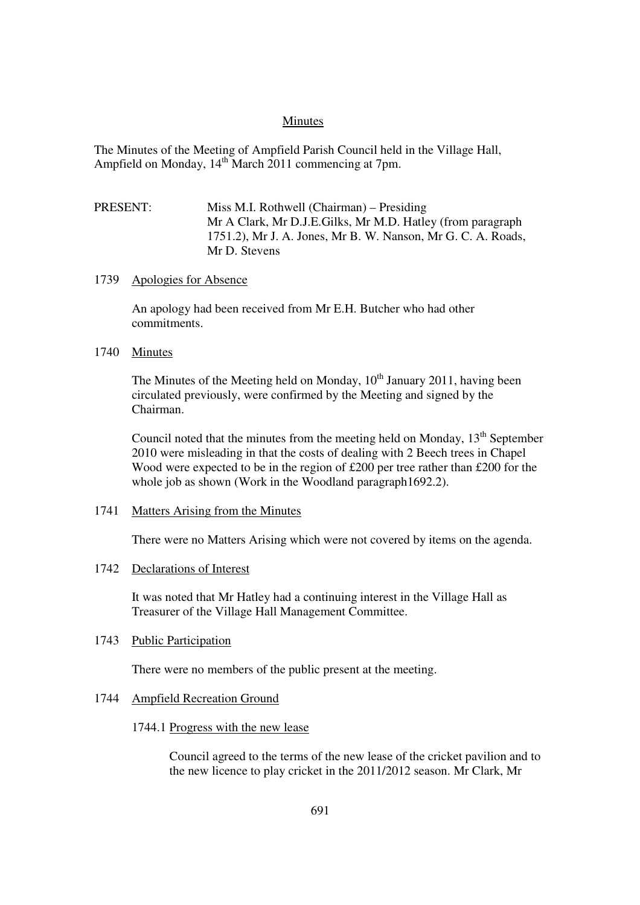#### Minutes

The Minutes of the Meeting of Ampfield Parish Council held in the Village Hall, Ampfield on Monday,  $14^{th}$  March 2011 commencing at 7pm.

# PRESENT: Miss M.I. Rothwell (Chairman) – Presiding Mr A Clark, Mr D.J.E.Gilks, Mr M.D. Hatley (from paragraph 1751.2), Mr J. A. Jones, Mr B. W. Nanson, Mr G. C. A. Roads, Mr D. Stevens

### 1739 Apologies for Absence

An apology had been received from Mr E.H. Butcher who had other commitments.

### 1740 Minutes

The Minutes of the Meeting held on Monday,  $10^{th}$  January 2011, having been circulated previously, were confirmed by the Meeting and signed by the Chairman.

Council noted that the minutes from the meeting held on Monday,  $13<sup>th</sup>$  September 2010 were misleading in that the costs of dealing with 2 Beech trees in Chapel Wood were expected to be in the region of £200 per tree rather than £200 for the whole job as shown (Work in the Woodland paragraph1692.2).

#### 1741 Matters Arising from the Minutes

There were no Matters Arising which were not covered by items on the agenda.

### 1742 Declarations of Interest

It was noted that Mr Hatley had a continuing interest in the Village Hall as Treasurer of the Village Hall Management Committee.

#### 1743 Public Participation

There were no members of the public present at the meeting.

### 1744 Ampfield Recreation Ground

### 1744.1 Progress with the new lease

Council agreed to the terms of the new lease of the cricket pavilion and to the new licence to play cricket in the 2011/2012 season. Mr Clark, Mr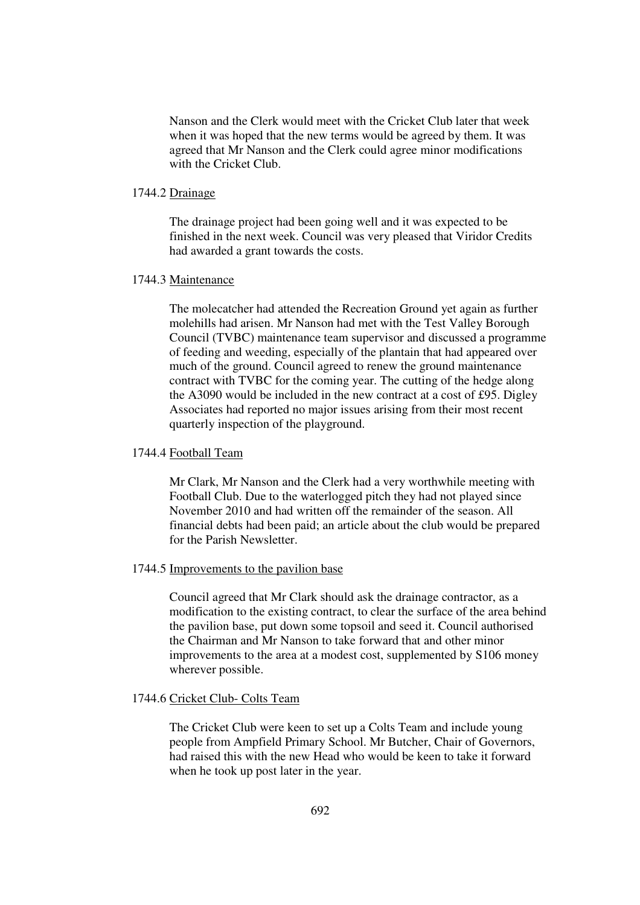Nanson and the Clerk would meet with the Cricket Club later that week when it was hoped that the new terms would be agreed by them. It was agreed that Mr Nanson and the Clerk could agree minor modifications with the Cricket Club.

### 1744.2 Drainage

The drainage project had been going well and it was expected to be finished in the next week. Council was very pleased that Viridor Credits had awarded a grant towards the costs.

### 1744.3 Maintenance

The molecatcher had attended the Recreation Ground yet again as further molehills had arisen. Mr Nanson had met with the Test Valley Borough Council (TVBC) maintenance team supervisor and discussed a programme of feeding and weeding, especially of the plantain that had appeared over much of the ground. Council agreed to renew the ground maintenance contract with TVBC for the coming year. The cutting of the hedge along the A3090 would be included in the new contract at a cost of £95. Digley Associates had reported no major issues arising from their most recent quarterly inspection of the playground.

#### 1744.4 Football Team

Mr Clark, Mr Nanson and the Clerk had a very worthwhile meeting with Football Club. Due to the waterlogged pitch they had not played since November 2010 and had written off the remainder of the season. All financial debts had been paid; an article about the club would be prepared for the Parish Newsletter.

#### 1744.5 Improvements to the pavilion base

Council agreed that Mr Clark should ask the drainage contractor, as a modification to the existing contract, to clear the surface of the area behind the pavilion base, put down some topsoil and seed it. Council authorised the Chairman and Mr Nanson to take forward that and other minor improvements to the area at a modest cost, supplemented by S106 money wherever possible.

#### 1744.6 Cricket Club- Colts Team

The Cricket Club were keen to set up a Colts Team and include young people from Ampfield Primary School. Mr Butcher, Chair of Governors, had raised this with the new Head who would be keen to take it forward when he took up post later in the year.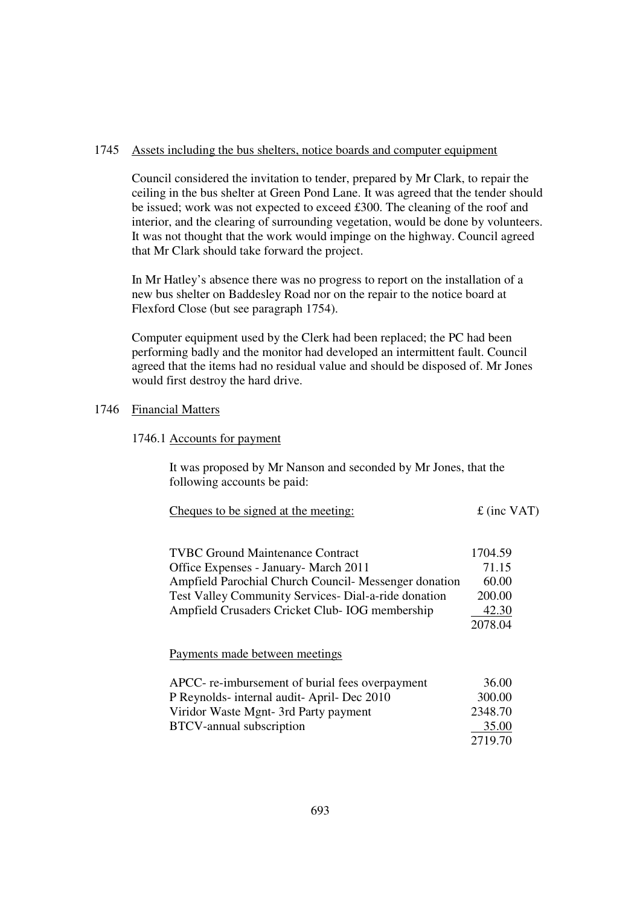### 1745 Assets including the bus shelters, notice boards and computer equipment

Council considered the invitation to tender, prepared by Mr Clark, to repair the ceiling in the bus shelter at Green Pond Lane. It was agreed that the tender should be issued; work was not expected to exceed £300. The cleaning of the roof and interior, and the clearing of surrounding vegetation, would be done by volunteers. It was not thought that the work would impinge on the highway. Council agreed that Mr Clark should take forward the project.

In Mr Hatley's absence there was no progress to report on the installation of a new bus shelter on Baddesley Road nor on the repair to the notice board at Flexford Close (but see paragraph 1754).

Computer equipment used by the Clerk had been replaced; the PC had been performing badly and the monitor had developed an intermittent fault. Council agreed that the items had no residual value and should be disposed of. Mr Jones would first destroy the hard drive.

# 1746 Financial Matters

#### 1746.1 Accounts for payment

It was proposed by Mr Nanson and seconded by Mr Jones, that the following accounts be paid:

| Cheques to be signed at the meeting: | $\pounds$ (inc VAT) |
|--------------------------------------|---------------------|
|                                      |                     |

| <b>TVBC Ground Maintenance Contract</b>               | 1704.59 |
|-------------------------------------------------------|---------|
| Office Expenses - January - March 2011                | 71.15   |
| Ampfield Parochial Church Council- Messenger donation | 60.00   |
| Test Valley Community Services- Dial-a-ride donation  | 200.00  |
| Ampfield Crusaders Cricket Club-IOG membership        | 42.30   |
|                                                       | 2078.04 |
|                                                       |         |

Payments made between meetings

| APCC- re-imbursement of burial fees overpayment | 36.00   |
|-------------------------------------------------|---------|
| P Reynolds-internal audit-April-Dec 2010        | 300.00  |
| Viridor Waste Mgnt- 3rd Party payment           | 2348.70 |
| BTCV-annual subscription                        | 35.00   |
|                                                 | 2719.70 |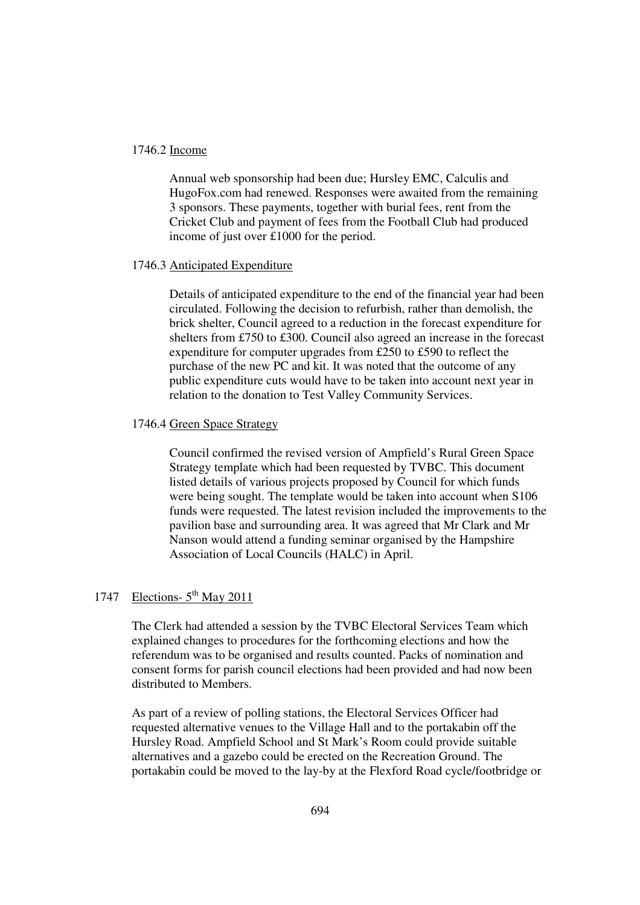# 1746.2 Income

Annual web sponsorship had been due; Hursley EMC, Calculis and HugoFox.com had renewed. Responses were awaited from the remaining 3 sponsors. These payments, together with burial fees, rent from the Cricket Club and payment of fees from the Football Club had produced income of just over £1000 for the period.

### 1746.3 Anticipated Expenditure

Details of anticipated expenditure to the end of the financial year had been circulated. Following the decision to refurbish, rather than demolish, the brick shelter, Council agreed to a reduction in the forecast expenditure for shelters from £750 to £300. Council also agreed an increase in the forecast expenditure for computer upgrades from £250 to £590 to reflect the purchase of the new PC and kit. It was noted that the outcome of any public expenditure cuts would have to be taken into account next year in relation to the donation to Test Valley Community Services.

### 1746.4 Green Space Strategy

Council confirmed the revised version of Ampfield's Rural Green Space Strategy template which had been requested by TVBC. This document listed details of various projects proposed by Council for which funds were being sought. The template would be taken into account when S106 funds were requested. The latest revision included the improvements to the pavilion base and surrounding area. It was agreed that Mr Clark and Mr Nanson would attend a funding seminar organised by the Hampshire Association of Local Councils (HALC) in April.

# 1747 Elections-  $5<sup>th</sup>$  May 2011

The Clerk had attended a session by the TVBC Electoral Services Team which explained changes to procedures for the forthcoming elections and how the referendum was to be organised and results counted. Packs of nomination and consent forms for parish council elections had been provided and had now been distributed to Members.

As part of a review of polling stations, the Electoral Services Officer had requested alternative venues to the Village Hall and to the portakabin off the Hursley Road. Ampfield School and St Mark's Room could provide suitable alternatives and a gazebo could be erected on the Recreation Ground. The portakabin could be moved to the lay-by at the Flexford Road cycle/footbridge or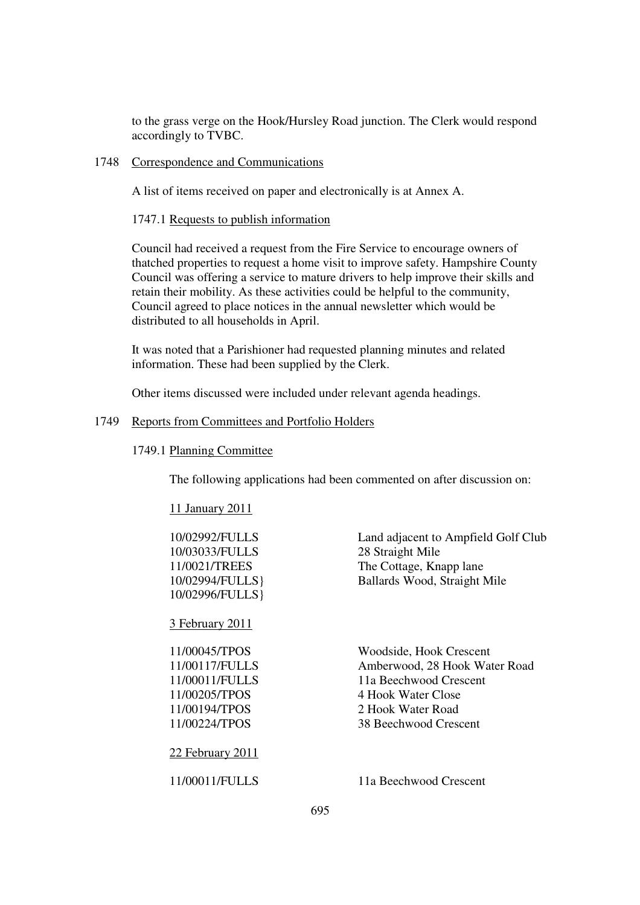to the grass verge on the Hook/Hursley Road junction. The Clerk would respond accordingly to TVBC.

### 1748 Correspondence and Communications

A list of items received on paper and electronically is at Annex A.

1747.1 Requests to publish information

Council had received a request from the Fire Service to encourage owners of thatched properties to request a home visit to improve safety. Hampshire County Council was offering a service to mature drivers to help improve their skills and retain their mobility. As these activities could be helpful to the community, Council agreed to place notices in the annual newsletter which would be distributed to all households in April.

It was noted that a Parishioner had requested planning minutes and related information. These had been supplied by the Clerk.

Other items discussed were included under relevant agenda headings.

### 1749 Reports from Committees and Portfolio Holders

### 1749.1 Planning Committee

The following applications had been commented on after discussion on:

|  | ' 1 January 201. |  |
|--|------------------|--|
|  |                  |  |

| 10/02992/FULLS   | Land adjacent to Ampfield Golf Club |
|------------------|-------------------------------------|
| 10/03033/FULLS   | 28 Straight Mile                    |
| 11/0021/TREES    | The Cottage, Knapp lane             |
| 10/02994/FULLS}  | Ballards Wood, Straight Mile        |
| 10/02996/FULLS}  |                                     |
| 3 February 2011  |                                     |
| 11/00045/TPOS    | Woodside, Hook Crescent             |
| 11/00117/FULLS   | Amberwood, 28 Hook Water Road       |
| 11/00011/FULLS   | 11a Beechwood Crescent              |
| 11/00205/TPOS    | 4 Hook Water Close                  |
| 11/00194/TPOS    | 2 Hook Water Road                   |
| 11/00224/TPOS    | 38 Beechwood Crescent               |
| 22 February 2011 |                                     |
| 11/00011/FULLS   | 11a Beechwood Crescent              |
|                  |                                     |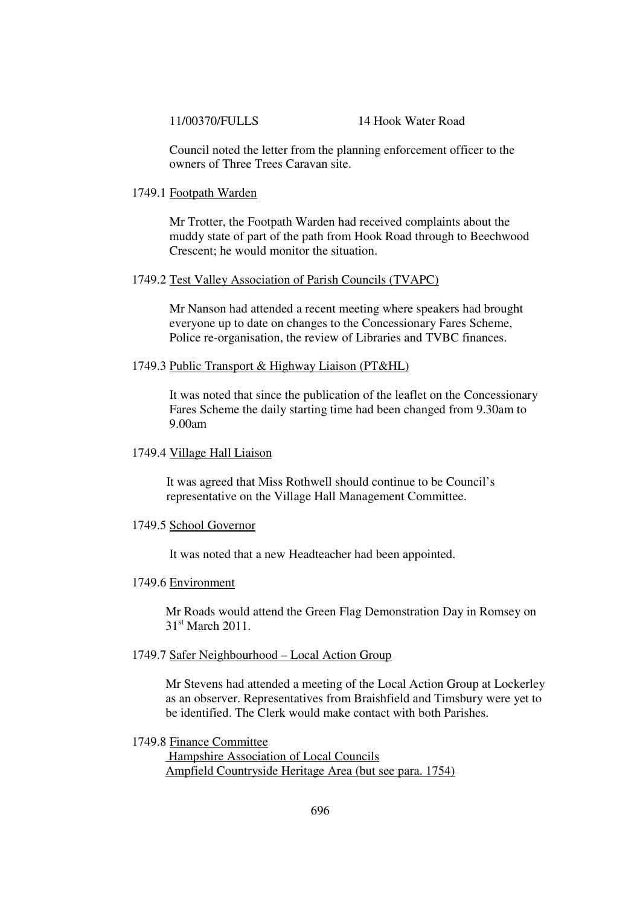#### 11/00370/FULLS 14 Hook Water Road

Council noted the letter from the planning enforcement officer to the owners of Three Trees Caravan site.

#### 1749.1 Footpath Warden

Mr Trotter, the Footpath Warden had received complaints about the muddy state of part of the path from Hook Road through to Beechwood Crescent; he would monitor the situation.

### 1749.2 Test Valley Association of Parish Councils (TVAPC)

Mr Nanson had attended a recent meeting where speakers had brought everyone up to date on changes to the Concessionary Fares Scheme, Police re-organisation, the review of Libraries and TVBC finances.

### 1749.3 Public Transport & Highway Liaison (PT&HL)

It was noted that since the publication of the leaflet on the Concessionary Fares Scheme the daily starting time had been changed from 9.30am to 9.00am

# 1749.4 Village Hall Liaison

It was agreed that Miss Rothwell should continue to be Council's representative on the Village Hall Management Committee.

#### 1749.5 School Governor

It was noted that a new Headteacher had been appointed.

### 1749.6 Environment

 Mr Roads would attend the Green Flag Demonstration Day in Romsey on 31st March 2011.

### 1749.7 Safer Neighbourhood – Local Action Group

Mr Stevens had attended a meeting of the Local Action Group at Lockerley as an observer. Representatives from Braishfield and Timsbury were yet to be identified. The Clerk would make contact with both Parishes.

### 1749.8 Finance Committee

 Hampshire Association of Local Councils Ampfield Countryside Heritage Area (but see para. 1754)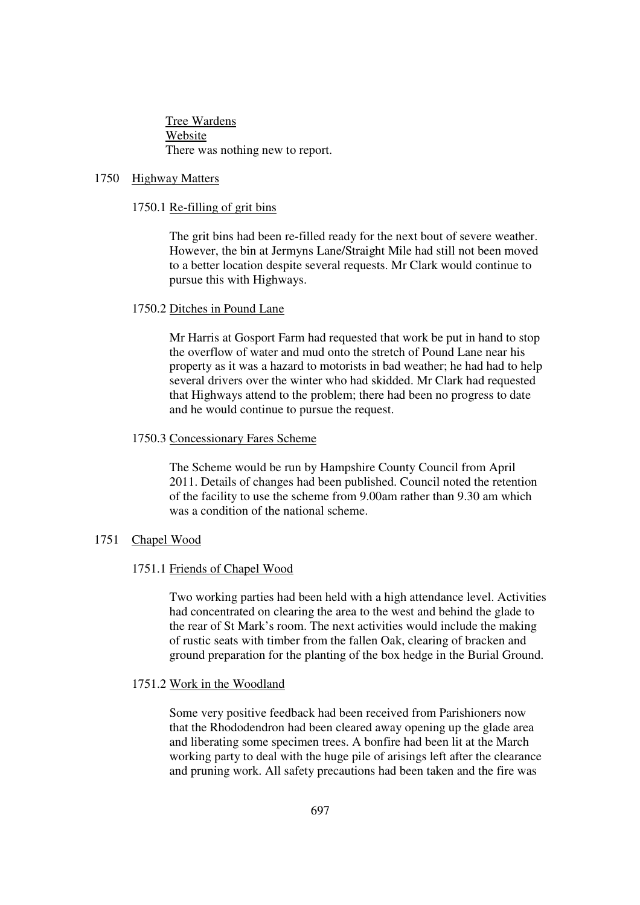Tree Wardens Website There was nothing new to report.

### 1750 Highway Matters

### 1750.1 Re-filling of grit bins

The grit bins had been re-filled ready for the next bout of severe weather. However, the bin at Jermyns Lane/Straight Mile had still not been moved to a better location despite several requests. Mr Clark would continue to pursue this with Highways.

### 1750.2 Ditches in Pound Lane

Mr Harris at Gosport Farm had requested that work be put in hand to stop the overflow of water and mud onto the stretch of Pound Lane near his property as it was a hazard to motorists in bad weather; he had had to help several drivers over the winter who had skidded. Mr Clark had requested that Highways attend to the problem; there had been no progress to date and he would continue to pursue the request.

### 1750.3 Concessionary Fares Scheme

The Scheme would be run by Hampshire County Council from April 2011. Details of changes had been published. Council noted the retention of the facility to use the scheme from 9.00am rather than 9.30 am which was a condition of the national scheme.

### 1751 Chapel Wood

#### 1751.1 Friends of Chapel Wood

Two working parties had been held with a high attendance level. Activities had concentrated on clearing the area to the west and behind the glade to the rear of St Mark's room. The next activities would include the making of rustic seats with timber from the fallen Oak, clearing of bracken and ground preparation for the planting of the box hedge in the Burial Ground.

#### 1751.2 Work in the Woodland

Some very positive feedback had been received from Parishioners now that the Rhododendron had been cleared away opening up the glade area and liberating some specimen trees. A bonfire had been lit at the March working party to deal with the huge pile of arisings left after the clearance and pruning work. All safety precautions had been taken and the fire was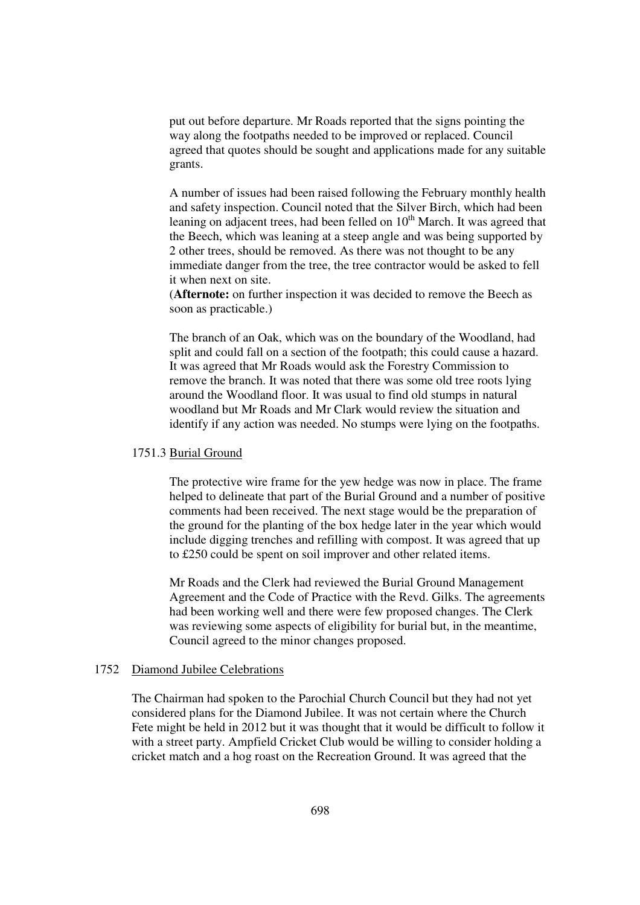put out before departure. Mr Roads reported that the signs pointing the way along the footpaths needed to be improved or replaced. Council agreed that quotes should be sought and applications made for any suitable grants.

A number of issues had been raised following the February monthly health and safety inspection. Council noted that the Silver Birch, which had been leaning on adjacent trees, had been felled on  $10<sup>th</sup>$  March. It was agreed that the Beech, which was leaning at a steep angle and was being supported by 2 other trees, should be removed. As there was not thought to be any immediate danger from the tree, the tree contractor would be asked to fell it when next on site.

(**Afternote:** on further inspection it was decided to remove the Beech as soon as practicable.)

The branch of an Oak, which was on the boundary of the Woodland, had split and could fall on a section of the footpath; this could cause a hazard. It was agreed that Mr Roads would ask the Forestry Commission to remove the branch. It was noted that there was some old tree roots lying around the Woodland floor. It was usual to find old stumps in natural woodland but Mr Roads and Mr Clark would review the situation and identify if any action was needed. No stumps were lying on the footpaths.

# 1751.3 Burial Ground

The protective wire frame for the yew hedge was now in place. The frame helped to delineate that part of the Burial Ground and a number of positive comments had been received. The next stage would be the preparation of the ground for the planting of the box hedge later in the year which would include digging trenches and refilling with compost. It was agreed that up to £250 could be spent on soil improver and other related items.

Mr Roads and the Clerk had reviewed the Burial Ground Management Agreement and the Code of Practice with the Revd. Gilks. The agreements had been working well and there were few proposed changes. The Clerk was reviewing some aspects of eligibility for burial but, in the meantime, Council agreed to the minor changes proposed.

#### 1752 Diamond Jubilee Celebrations

The Chairman had spoken to the Parochial Church Council but they had not yet considered plans for the Diamond Jubilee. It was not certain where the Church Fete might be held in 2012 but it was thought that it would be difficult to follow it with a street party. Ampfield Cricket Club would be willing to consider holding a cricket match and a hog roast on the Recreation Ground. It was agreed that the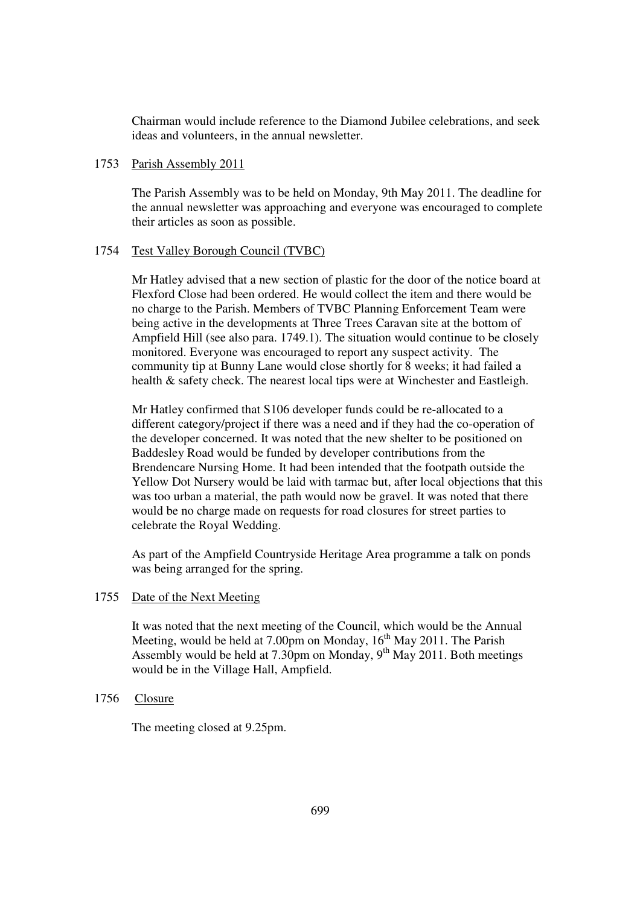Chairman would include reference to the Diamond Jubilee celebrations, and seek ideas and volunteers, in the annual newsletter.

# 1753 Parish Assembly 2011

The Parish Assembly was to be held on Monday, 9th May 2011. The deadline for the annual newsletter was approaching and everyone was encouraged to complete their articles as soon as possible.

# 1754 Test Valley Borough Council (TVBC)

Mr Hatley advised that a new section of plastic for the door of the notice board at Flexford Close had been ordered. He would collect the item and there would be no charge to the Parish. Members of TVBC Planning Enforcement Team were being active in the developments at Three Trees Caravan site at the bottom of Ampfield Hill (see also para. 1749.1). The situation would continue to be closely monitored. Everyone was encouraged to report any suspect activity. The community tip at Bunny Lane would close shortly for 8 weeks; it had failed a health & safety check. The nearest local tips were at Winchester and Eastleigh.

Mr Hatley confirmed that S106 developer funds could be re-allocated to a different category/project if there was a need and if they had the co-operation of the developer concerned. It was noted that the new shelter to be positioned on Baddesley Road would be funded by developer contributions from the Brendencare Nursing Home. It had been intended that the footpath outside the Yellow Dot Nursery would be laid with tarmac but, after local objections that this was too urban a material, the path would now be gravel. It was noted that there would be no charge made on requests for road closures for street parties to celebrate the Royal Wedding.

As part of the Ampfield Countryside Heritage Area programme a talk on ponds was being arranged for the spring.

### 1755 Date of the Next Meeting

It was noted that the next meeting of the Council, which would be the Annual Meeting, would be held at 7.00pm on Monday,  $16^{th}$  May 2011. The Parish Assembly would be held at 7.30pm on Monday,  $9<sup>th</sup>$  May 2011. Both meetings would be in the Village Hall, Ampfield.

# 1756 Closure

The meeting closed at 9.25pm.